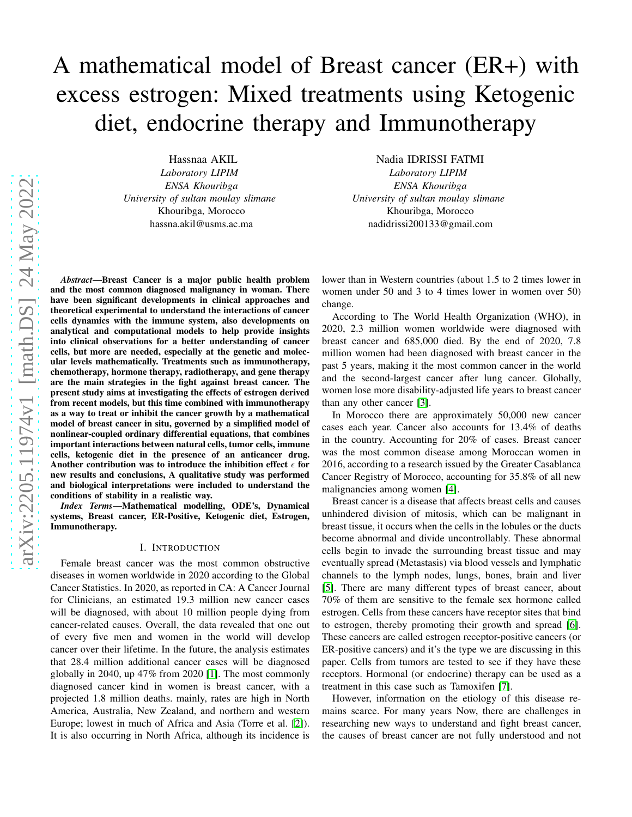# A mathematical model of Breast cancer (ER+) with excess estrogen: Mixed treatments using Ketogenic diet, endocrine therapy and Immunotherapy

Hassnaa AKIL *Laboratory LIPIM ENSA Khouribga University of sultan moulay slimane* Khouribga, Morocco hassna.akil@usms.ac.ma

Nadia IDRISSI FATMI *Laboratory LIPIM ENSA Khouribga University of sultan moulay slimane* Khouribga, Morocco nadidrissi200133@gmail.com

*Abstract*—Breast Cancer is a major public health problem and the most common diagnosed malignancy in woman. There have been significant developments in clinical approaches and theoretical experimental to understand the interactions of cancer cells dynamics with the immune system, also developments on analytical and computational models to help provide insights into clinical observations for a better understanding of cancer cells, but more are needed, especially at the genetic and molecular levels mathematically. Treatments such as immunotherapy, chemotherapy, hormone therapy, radiotherapy, and gene therapy are the main strategies in the fight against breast cancer. The present study aims at investigating the effects of estrogen derived from recent models, but this time combined with immunotherapy as a way to treat or inhibit the cancer growth by a mathematical model of breast cancer in situ, governed by a simplified model of nonlinear-coupled ordinary differential equations, that combines important interactions between natural cells, tumor cells, immune cells, ketogenic diet in the presence of an anticancer drug. Another contribution was to introduce the inhibition effect  $\epsilon$  for new results and conclusions, A qualitative study was performed and biological interpretations were included to understand the conditions of stability in a realistic way.

*Index Terms*—Mathematical modelling, ODE's, Dynamical systems, Breast cancer, ER-Positive, Ketogenic diet, Estrogen, Immunotherapy.

#### I. INTRODUCTION

Female breast cancer was the most common obstructive diseases in women worldwide in 2020 according to the Global Cancer Statistics. In 2020, as reported in CA: A Cancer Journal for Clinicians, an estimated 19.3 million new cancer cases will be diagnosed, with about 10 million people dying from cancer-related causes. Overall, the data revealed that one out of every five men and women in the world will develop cancer over their lifetime. In the future, the analysis estimates that 28.4 million additional cancer cases will be diagnosed globally in 2040, up 47% from 2020 [\[1\]](#page-6-0). The most commonly diagnosed cancer kind in women is breast cancer, with a projected 1.8 million deaths. mainly, rates are high in North America, Australia, New Zealand, and northern and western Europe; lowest in much of Africa and Asia (Torre et al. [\[2\]](#page-6-1)). It is also occurring in North Africa, although its incidence is lower than in Western countries (about 1.5 to 2 times lower in women under 50 and 3 to 4 times lower in women over 50) change.

According to The World Health Organization (WHO), in 2020, 2.3 million women worldwide were diagnosed with breast cancer and 685,000 died. By the end of 2020, 7.8 million women had been diagnosed with breast cancer in the past 5 years, making it the most common cancer in the world and the second-largest cancer after lung cancer. Globally, women lose more disability-adjusted life years to breast cancer than any other cancer [\[3\]](#page-6-2).

In Morocco there are approximately 50,000 new cancer cases each year. Cancer also accounts for 13.4% of deaths in the country. Accounting for 20% of cases. Breast cancer was the most common disease among Moroccan women in 2016, according to a research issued by the Greater Casablanca Cancer Registry of Morocco, accounting for 35.8% of all new malignancies among women [\[4\]](#page-6-3).

Breast cancer is a disease that affects breast cells and causes unhindered division of mitosis, which can be malignant in breast tissue, it occurs when the cells in the lobules or the ducts become abnormal and divide uncontrollably. These abnormal cells begin to invade the surrounding breast tissue and may eventually spread (Metastasis) via blood vessels and lymphatic channels to the lymph nodes, lungs, bones, brain and liver [\[5\]](#page-7-0). There are many different types of breast cancer, about 70% of them are sensitive to the female sex hormone called estrogen. Cells from these cancers have receptor sites that bind to estrogen, thereby promoting their growth and spread [\[6\]](#page-7-1). These cancers are called estrogen receptor-positive cancers (or ER-positive cancers) and it's the type we are discussing in this paper. Cells from tumors are tested to see if they have these receptors. Hormonal (or endocrine) therapy can be used as a treatment in this case such as Tamoxifen [\[7\]](#page-7-2).

However, information on the etiology of this disease remains scarce. For many years Now, there are challenges in researching new ways to understand and fight breast cancer, the causes of breast cancer are not fully understood and not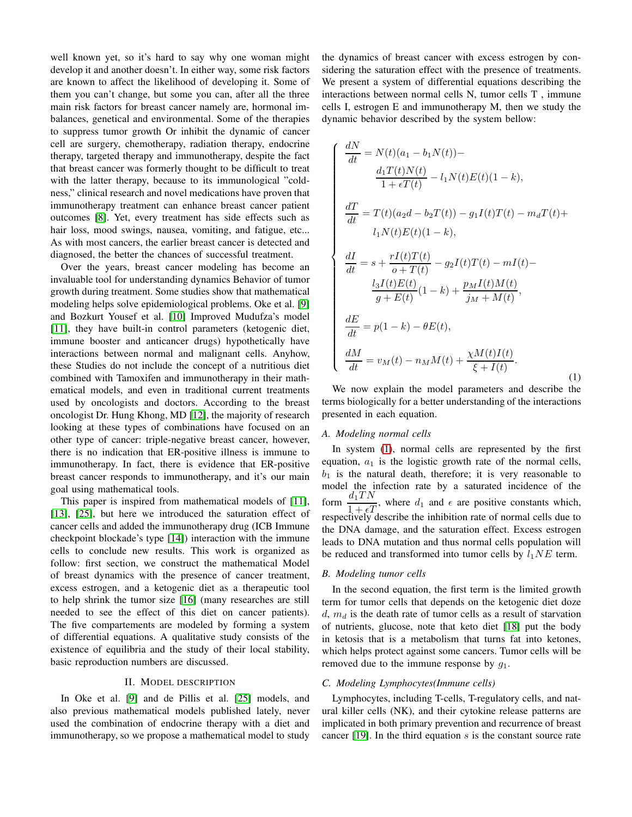well known yet, so it's hard to say why one woman might develop it and another doesn't. In either way, some risk factors are known to affect the likelihood of developing it. Some of them you can't change, but some you can, after all the three main risk factors for breast cancer namely are, hormonal imbalances, genetical and environmental. Some of the therapies to suppress tumor growth Or inhibit the dynamic of cancer cell are surgery, chemotherapy, radiation therapy, endocrine therapy, targeted therapy and immunotherapy, despite the fact that breast cancer was formerly thought to be difficult to treat with the latter therapy, because to its immunological "coldness," clinical research and novel medications have proven that immunotherapy treatment can enhance breast cancer patient outcomes [\[8\]](#page-7-3). Yet, every treatment has side effects such as hair loss, mood swings, nausea, vomiting, and fatigue, etc... As with most cancers, the earlier breast cancer is detected and diagnosed, the better the chances of successful treatment.

Over the years, breast cancer modeling has become an invaluable tool for understanding dynamics Behavior of tumor growth during treatment. Some studies show that mathematical modeling helps solve epidemiological problems. Oke et al. [\[9\]](#page-7-4) and Bozkurt Yousef et al. [\[10\]](#page-7-5) Improved Mudufza's model [\[11\]](#page-7-6), they have built-in control parameters (ketogenic diet, immune booster and anticancer drugs) hypothetically have interactions between normal and malignant cells. Anyhow, these Studies do not include the concept of a nutritious diet combined with Tamoxifen and immunotherapy in their mathematical models, and even in traditional current treatments used by oncologists and doctors. According to the breast oncologist Dr. Hung Khong, MD [\[12\]](#page-7-7), the majority of research looking at these types of combinations have focused on an other type of cancer: triple-negative breast cancer, however, there is no indication that ER-positive illness is immune to immunotherapy. In fact, there is evidence that ER-positive breast cancer responds to immunotherapy, and it's our main goal using mathematical tools.

This paper is inspired from mathematical models of [\[11\]](#page-7-6), [\[13\]](#page-7-8), [\[25\]](#page-7-9), but here we introduced the saturation effect of cancer cells and added the immunotherapy drug (ICB Immune checkpoint blockade's type [\[14\]](#page-7-10)) interaction with the immune cells to conclude new results. This work is organized as follow: first section, we construct the mathematical Model of breast dynamics with the presence of cancer treatment, excess estrogen, and a ketogenic diet as a therapeutic tool to help shrink the tumor size [\[16\]](#page-7-11) (many researches are still needed to see the effect of this diet on cancer patients). The five compartements are modeled by forming a system of differential equations. A qualitative study consists of the existence of equilibria and the study of their local stability, basic reproduction numbers are discussed.

### II. MODEL DESCRIPTION

In Oke et al. [\[9\]](#page-7-4) and de Pillis et al. [\[25\]](#page-7-9) models, and also previous mathematical models published lately, never used the combination of endocrine therapy with a diet and immunotherapy, so we propose a mathematical model to study the dynamics of breast cancer with excess estrogen by considering the saturation effect with the presence of treatments. We present a system of differential equations describing the interactions between normal cells N, tumor cells T , immune cells I, estrogen E and immunotherapy M, then we study the dynamic behavior described by the system bellow:

<span id="page-1-0"></span>
$$
\begin{cases}\n\frac{dN}{dt} = N(t)(a_1 - b_1N(t)) - \\
\frac{d_1T(t)N(t)}{1 + \epsilon T(t)} - l_1N(t)E(t)(1 - k), \\
\frac{dT}{dt} = T(t)(a_2d - b_2T(t)) - g_1I(t)T(t) - m_dT(t) + \\
l_1N(t)E(t)(1 - k), \\
\frac{dI}{dt} = s + \frac{rI(t)T(t)}{o + T(t)} - g_2I(t)T(t) - mI(t) - \\
\frac{l_3I(t)E(t)}{g + E(t)}(1 - k) + \frac{p_MI(t)M(t)}{j_M + M(t)}, \\
\frac{dE}{dt} = p(1 - k) - \theta E(t), \\
\frac{dM}{dt} = v_M(t) - n_MM(t) + \frac{\chi M(t)I(t)}{\xi + I(t)}.\n\end{cases} (1)
$$

We now explain the model parameters and describe the terms biologically for a better understanding of the interactions presented in each equation.

#### *A. Modeling normal cells*

In system [\(1\)](#page-1-0), normal cells are represented by the first equation,  $a_1$  is the logistic growth rate of the normal cells,  $b_1$  is the natural death, therefore; it is very reasonable to model the infection rate by a saturated incidence of the form  $\frac{d_1TN}{1+\epsilon T}$ , where  $d_1$  and  $\epsilon$  are positive constants which, respectively describe the inhibition rate of normal cells due to the DNA damage, and the saturation effect. Excess estrogen leads to DNA mutation and thus normal cells population will be reduced and transformed into tumor cells by  $l_1NE$  term.

## *B. Modeling tumor cells*

In the second equation, the first term is the limited growth term for tumor cells that depends on the ketogenic diet doze  $d, m_d$  is the death rate of tumor cells as a result of starvation of nutrients, glucose, note that keto diet [\[18\]](#page-7-12) put the body in ketosis that is a metabolism that turns fat into ketones, which helps protect against some cancers. Tumor cells will be removed due to the immune response by  $g_1$ .

#### *C. Modeling Lymphocytes(Immune cells)*

Lymphocytes, including T-cells, T-regulatory cells, and natural killer cells (NK), and their cytokine release patterns are implicated in both primary prevention and recurrence of breast cancer [\[19\]](#page-7-13). In the third equation s is the constant source rate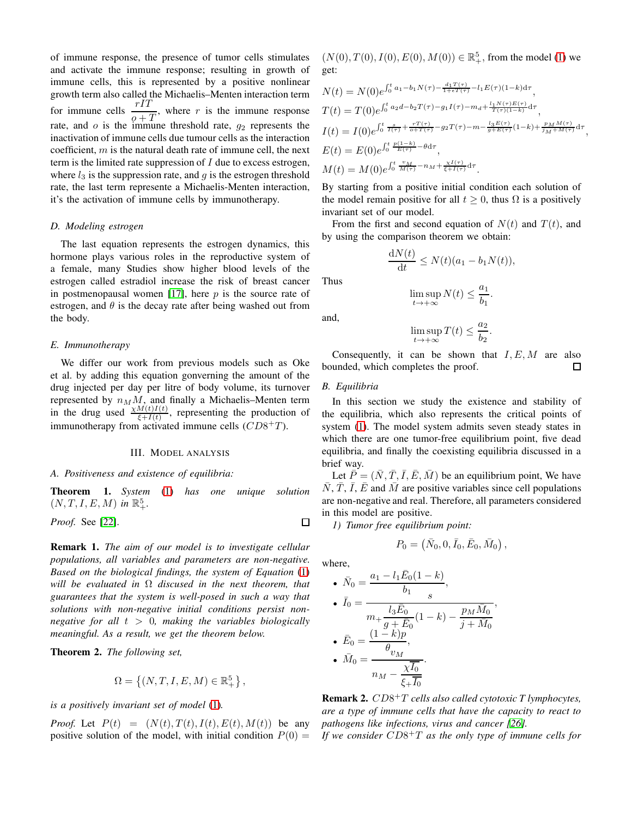of immune response, the presence of tumor cells stimulates and activate the immune response; resulting in growth of immune cells, this is represented by a positive nonlinear growth term also called the Michaelis–Menten interaction term for immune cells  $\frac{rIT}{\rho+T}$ , where r is the immune response rate, and  $o$  is the immune threshold rate,  $g_2$  represents the inactivation of immune cells due tumour cells as the interaction coefficient,  $m$  is the natural death rate of immune cell, the next term is the limited rate suppression of  $I$  due to excess estrogen, where  $l_3$  is the suppression rate, and  $g$  is the estrogen threshold rate, the last term represente a Michaelis-Menten interaction, it's the activation of immune cells by immunotherapy.

# *D. Modeling estrogen*

The last equation represents the estrogen dynamics, this hormone plays various roles in the reproductive system of a female, many Studies show higher blood levels of the estrogen called estradiol increase the risk of breast cancer in postmenopausal women [\[17\]](#page-7-14), here  $p$  is the source rate of estrogen, and  $\theta$  is the decay rate after being washed out from the body.

# *E. Immunotherapy*

We differ our work from previous models such as Oke et al. by adding this equation gonverning the amount of the drug injected per day per litre of body volume, its turnover represented by  $n_M M$ , and finally a Michaelis–Menten term in the drug used  $\frac{\chi M(t)I(t)}{\xi+I(t)}$ , representing the production of immunotherapy from activated immune cells  $(CD8+T)$ .

### III. MODEL ANALYSIS

#### *A. Positiveness and existence of equilibria:*

Theorem 1. *System* [\(1\)](#page-1-0) *has one unique solution*  $(N, T, I, E, M)$  in  $\mathbb{R}^5_+$ .

*Proof.* See [\[22\]](#page-7-15).

Remark 1. *The aim of our model is to investigate cellular populations, all variables and parameters are non-negative. Based on the biological findings, the system of Equation* [\(1\)](#page-1-0) *will be evaluated in* Ω *discused in the next theorem, that guarantees that the system is well-posed in such a way that solutions with non-negative initial conditions persist nonnegative for all* t > 0*, making the variables biologically meaningful. As a result, we get the theorem below.*

Theorem 2. *The following set,*

$$
\Omega = \left\{ (N,T,I,E,M) \in \mathbb{R}_+^5 \right\},
$$

*is a positively invariant set of model* [\(1\)](#page-1-0)*.*

*Proof.* Let  $P(t) = (N(t), T(t), I(t), E(t), M(t))$  be any positive solution of the model, with initial condition  $P(0) =$ 

 $(N(0), T(0), I(0), E(0), M(0)) \in \mathbb{R}^5_+$ , from the model [\(1\)](#page-1-0) we get:

$$
N(t) = N(0)e^{\int_0^t a_1 - b_1 N(\tau) - \frac{d_1 T(\tau)}{1 + \epsilon T(\tau)} - l_1 E(\tau)(1 - k) d\tau},
$$
  
\n
$$
T(t) = T(0)e^{\int_0^t a_2 d - b_2 T(\tau) - g_1 I(\tau) - m_d + \frac{l_1 N(\tau) E(\tau)}{T(\tau)(1 - k)} d\tau},
$$
  
\n
$$
I(t) = I(0)e^{\int_0^t \frac{\tau}{I(\tau)} + \frac{rT(\tau)}{\epsilon + T(\tau)} - g_2 T(\tau) - m - \frac{l_3 E(\tau)}{g + E(\tau)}(1 - k) + \frac{p_M M(\tau)}{M + M(\tau)} d\tau},
$$
  
\n
$$
E(t) = E(0)e^{\int_0^t \frac{p(1 - k)}{E(\tau)} - \theta d\tau},
$$
  
\n
$$
M(t) = M(0)e^{\int_0^t \frac{v_M}{M(\tau)} - n_M + \frac{\chi I(\tau)}{\xi + I(\tau)} d\tau}.
$$

By starting from a positive initial condition each solution of the model remain positive for all  $t > 0$ , thus  $\Omega$  is a positively invariant set of our model.

From the first and second equation of  $N(t)$  and  $T(t)$ , and by using the comparison theorem we obtain:

$$
\frac{\mathrm{d}N(t)}{\mathrm{d}t} \le N(t)(a_1 - b_1 N(t)),
$$

Thus

and,

$$
\limsup_{t \to +\infty} N(t) \le \frac{a_1}{b_1}.
$$

$$
\limsup_{t \to +\infty} T(t) \le \frac{a_2}{b_2}.
$$

Consequently, it can be shown that  $I, E, M$  are also bounded, which completes the proof. □

## *B. Equilibria*

In this section we study the existence and stability of the equilibria, which also represents the critical points of system [\(1\)](#page-1-0). The model system admits seven steady states in which there are one tumor-free equilibrium point, five dead equilibria, and finally the coexisting equilibria discussed in a brief way.

Let  $\overline{P} = (\overline{N}, \overline{T}, \overline{I}, \overline{E}, \overline{M})$  be an equilibrium point, We have  $\bar{N}$ ,  $\bar{T}$ ,  $\bar{I}$ ,  $\bar{E}$  and  $\bar{M}$  are positive variables since cell populations are non-negative and real. Therefore, all parameters considered in this model are positive.

*1) Tumor free equilibrium point:*

$$
P_0 = \left(\bar{N}_0, 0, \bar{I}_0, \bar{E}_0, \bar{M}_0\right),\,
$$

where,

 $\Box$ 

• 
$$
\bar{N}_0 = \frac{a_1 - l_1 \bar{E}_0 (1 - k)}{b_1},
$$
  
\n•  $\bar{I}_0 = \frac{l_3 \bar{E}_0}{m_1 + \frac{l_3 \bar{E}_0}{g + \bar{E}_0} (1 - k) - \frac{p_M \bar{M}_0}{j + \bar{M}_0}},$   
\n•  $\bar{E}_0 = \frac{(1 - k)p}{\theta_{v_M}},$   
\n•  $\bar{M}_0 = \frac{\bar{M}_0}{n_M - \frac{\bar{X}_0}{\xi + \bar{I}_0}}.$ 

Remark 2. CD8 <sup>+</sup>T *cells also called cytotoxic T lymphocytes, are a type of immune cells that have the capacity to react to pathogens like infections, virus and cancer [\[26\]](#page-7-16).*

*If we consider* CD8 <sup>+</sup>T *as the only type of immune cells for*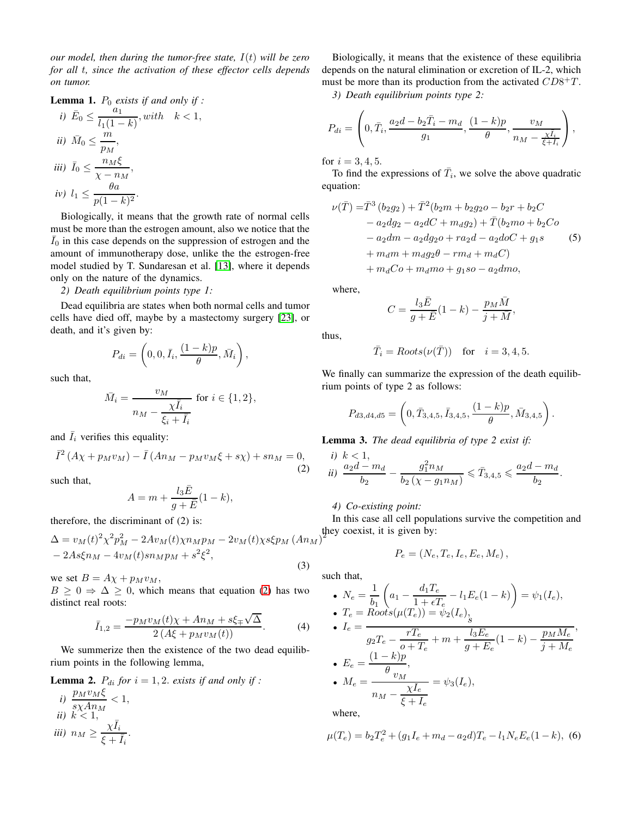*our model, then during the tumor-free state,* I(t) *will be zero for all* t*, since the activation of these effector cells depends on tumor.*

 $< 1$ ,

**Lemma 1.** 
$$
P_0
$$
 exists if and only if :

*i)* 
$$
\bar{E}_0 \le \frac{a_1}{l_1(1-k)}, with \quad k
$$
  
\n*ii)*  $\bar{M}_0 \le \frac{m}{p_M},$   
\n*iii)*  $\bar{I}_0 \le \frac{n_M\xi}{\chi - n_M},$   
\n*iv)*  $l_1 \le \frac{\theta a}{p(1-k)^2}.$ 

Biologically, it means that the growth rate of normal cells must be more than the estrogen amount, also we notice that the  $\bar{I}_0$  in this case depends on the suppression of estrogen and the amount of immunotherapy dose, unlike the the estrogen-free model studied by T. Sundaresan et al. [\[13\]](#page-7-8), where it depends only on the nature of the dynamics.

## *2) Death equilibrium points type 1:*

Dead equilibria are states when both normal cells and tumor cells have died off, maybe by a mastectomy surgery [\[23\]](#page-7-17), or death, and it's given by:

$$
P_{di} = \left(0, 0, \bar{I}_i, \frac{(1-k)p}{\theta}, \bar{M}_i\right),\,
$$

such that,

$$
\bar{M}_i = \frac{v_M}{n_M - \frac{\chi \bar{I}_i}{\xi_i + \bar{I}_i}} \text{ for } i \in \{1, 2\},
$$

and  $\bar{I}_i$  verifies this equality:

<span id="page-3-0"></span>
$$
\bar{I}^2\left(A\chi + p_M v_M\right) - \bar{I}\left(An_M - p_M v_M \xi + s\chi\right) + s n_M = 0,\tag{2}
$$

such that,

$$
A = m + \frac{l_3 \bar{E}}{g + \bar{E}} (1 - k),
$$

therefore, the discriminant of (2) is:

$$
\Delta = v_M(t)^2 \chi^2 p_M^2 - 2Av_M(t) \chi n_M p_M - 2v_M(t) \chi s \xi p_M (An_M) - 2As \xi n_M - 4v_M(t) sn_M p_M + s^2 \xi^2,
$$
\n(3)

we set  $B = A\chi + p_M v_M$ ,

 $B \ge 0 \Rightarrow \Delta \ge 0$ , which means that equation [\(2\)](#page-3-0) has two distinct real roots:

$$
\bar{I}_{1,2} = \frac{-p_M v_M(t)\chi + An_M + s\xi_{\mp}\sqrt{\Delta}}{2\left(A\xi + p_M v_M(t)\right)}.
$$
 (4)

We summerize then the existence of the two dead equilibrium points in the following lemma,

**Lemma 2.**  $P_{di}$  *for*  $i = 1, 2$ *. exists if and only if :* 

*i)* 
$$
\frac{p_M v_M \xi}{s \chi A n_M} < 1,
$$
\n*ii)* 
$$
k < 1,
$$
\n*iii)* 
$$
n_M \ge \frac{\chi \bar{I}_i}{\xi + \bar{I}_i}.
$$

Biologically, it means that the existence of these equilibria depends on the natural elimination or excretion of IL-2, which must be more than its production from the activated  $CD8^+T$ .

*3) Death equilibrium points type 2:*

$$
P_{di} = \left(0, \bar{T}_i, \frac{a_2d - b_2\bar{T}_i - m_d}{g_1}, \frac{(1-k)p}{\theta}, \frac{v_M}{n_M - \frac{\chi\bar{I}_i}{\xi + \bar{I}_i}}\right),
$$

for  $i = 3, 4, 5$ .

To find the expressions of  $\bar{T}_i$ , we solve the above quadratic equation:

$$
\nu(\bar{T}) = \bar{T}^3 (b_2 g_2) + \bar{T}^2 (b_2 m + b_2 g_2 o - b_2 r + b_2 C \n- a_2 d g_2 - a_2 d C + m_d g_2) + \bar{T} (b_2 m o + b_2 C o \n- a_2 d m - a_2 d g_2 o + r a_2 d - a_2 d o C + g_1 s
$$
\n
$$
+ m_d m + m_d g_2 \theta - r m_d + m_d C) \n+ m_d C o + m_d m o + g_1 s o - a_2 d m o,
$$
\n(5)

where,

$$
C = \frac{l_3 \bar{E}}{g + \bar{E}} (1 - k) - \frac{p_M \bar{M}}{j + \bar{M}},
$$

thus,

$$
\overline{T}_i = Roots(\nu(\overline{T})) \quad \text{for} \quad i = 3, 4, 5.
$$

We finally can summarize the expression of the death equilibrium points of type 2 as follows:

$$
P_{d3,d4,d5} = \left(0, \bar{T}_{3,4,5}, \bar{I}_{3,4,5}, \frac{(1-k)p}{\theta}, \bar{M}_{3,4,5}\right).
$$

Lemma 3. *The dead equilibria of type 2 exist if:*

*i)* 
$$
k < 1
$$
,  
\n*ii)*  $\frac{a_2d - m_d}{b_2} - \frac{g_1^2n_M}{b_2(\chi - g_1n_M)} \le \bar{T}_{3,4,5} \le \frac{a_2d - m_d}{b_2}$ 

## *4) Co-existing point:*

they coexist, it is given by: In this case all cell populations survive the competition and

.

,

$$
P_e = (N_e, T_e, I_e, E_e, M_e),
$$

such that,

• 
$$
N_e = \frac{1}{b_1} \left( a_1 - \frac{d_1 T_e}{1 + \epsilon T_e} - l_1 E_e (1 - k) \right) = \psi_1(I_e),
$$
  
\n•  $T_e = Roots(\mu(T_e)) = \psi_2(I_e),$   
\n•  $I_e = \frac{q_2 T_e - \frac{r T_e}{o + T_e} + m + \frac{l_3 E_e}{g + E_e} (1 - k) - \frac{p_M M_e}{j + M_e}$   
\n•  $E_e = \frac{(1 - k)p}{\theta v_M},$   
\n•  $M_e = \frac{\psi_M}{n_M - \frac{\chi I_e}{\xi + I_e}} = \psi_3(I_e),$   
\nwhere,

<span id="page-3-1"></span>
$$
\mu(T_e) = b_2 T_e^2 + (g_1 I_e + m_d - a_2 d) T_e - l_1 N_e E_e (1 - k),
$$
 (6)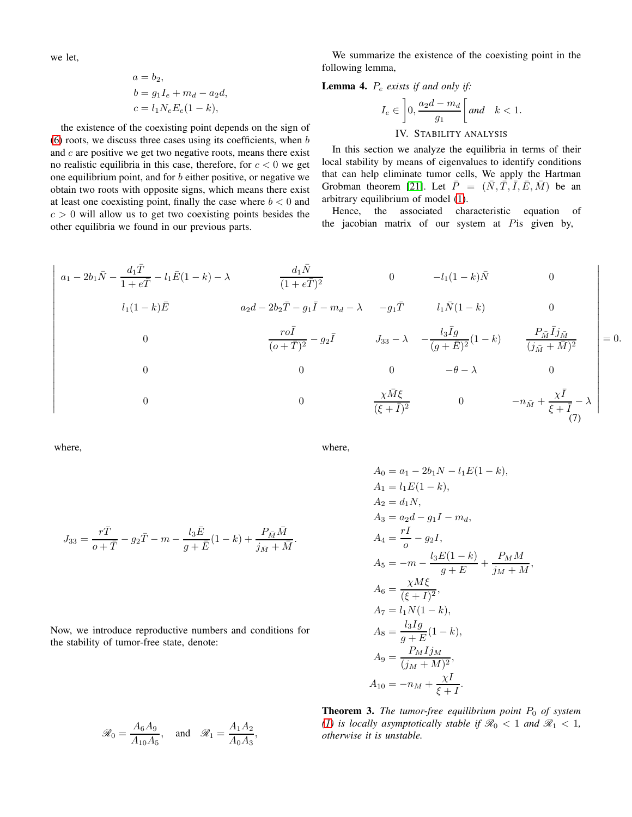we let,

$$
a = b2,\n b = g1Ie + md - a2d,\n c = l1NeEe(1 - k),
$$

the existence of the coexisting point depends on the sign of  $(6)$  roots, we discuss three cases using its coefficients, when  $b$ and  $c$  are positive we get two negative roots, means there exist no realistic equilibria in this case, therefore, for  $c < 0$  we get one equilibrium point, and for b either positive, or negative we obtain two roots with opposite signs, which means there exist at least one coexisting point, finally the case where  $b < 0$  and  $c > 0$  will allow us to get two coexisting points besides the other equilibria we found in our previous parts.

We summarize the existence of the coexisting point in the following lemma,

# Lemma 4. P<sup>e</sup> *exists if and only if:*

$$
I_e \in \left] 0, \frac{a_2d - m_d}{g_1} \right[ \text{and} \quad k < 1.
$$
   
IV. STABILITY ANALYSIS

In this section we analyze the equilibria in terms of their local stability by means of eigenvalues to identify conditions that can help eliminate tumor cells, We apply the Hartman Grobman theorem [\[21\]](#page-7-18). Let  $\overline{P} = (\overline{N}, \overline{T}, \overline{I}, \overline{E}, \overline{M})$  be an arbitrary equilibrium of model [\(1\)](#page-1-0).

Hence, the associated characteristic equation of the jacobian matrix of our system at Pis given by,

<span id="page-4-0"></span>
$$
\begin{vmatrix}\na_1 - 2b_1\bar{N} - \frac{d_1\bar{T}}{1 + e\bar{T}} - l_1\bar{E}(1 - k) - \lambda & \frac{d_1\bar{N}}{(1 + e\bar{T})^2} & 0 & -l_1(1 - k)\bar{N} & 0 \\
l_1(1 - k)\bar{E} & a_2d - 2b_2\bar{T} - g_1\bar{I} - m_d - \lambda & -g_1\bar{T} & l_1\bar{N}(1 - k) & 0 \\
0 & \frac{r\bar{O}}{(0 + \bar{T})^2} - g_2\bar{I} & J_{33} - \lambda & -\frac{l_3\bar{I}g}{(g + \bar{E})^2}(1 - k) & \frac{P_{\bar{M}}\bar{I}j_{\bar{M}}}{(j_{\bar{M}} + \bar{M})^2} \\
0 & 0 & 0 & -\theta - \lambda & 0 \\
0 & 0 & \frac{\chi\bar{M}\xi}{(\xi + \bar{I})^2} & 0 & -n_{\bar{M}} + \frac{\chi\bar{I}}{\xi + \bar{I}} - \lambda\n\end{vmatrix} = 0.
$$

where,

 $J_{33} = \frac{r\bar{T}}{\bar{T}}$ 

where,

$$
A_0 = a_1 - 2b_1N - l_1E(1 - k),
$$
  
\n
$$
A_1 = l_1E(1 - k),
$$
  
\n
$$
A_2 = d_1N,
$$
  
\n
$$
A_3 = a_2d - g_1I - m_d,
$$
  
\n
$$
A_4 = \frac{rI}{o} - g_2I,
$$
  
\n
$$
A_5 = -m - \frac{l_3E(1 - k)}{g + E} + \frac{P_MM}{j_M + M},
$$
  
\n
$$
A_6 = \frac{\chi M \xi}{(\xi + I)^2},
$$
  
\n
$$
A_7 = l_1N(1 - k),
$$
  
\n
$$
A_8 = \frac{l_3Ig}{g + E}(1 - k),
$$
  
\n
$$
A_9 = \frac{P_MIj_M}{(j_M + M)^2},
$$
  
\n
$$
A_{10} = -n_M + \frac{\chi I}{\xi + I}.
$$

Now, we introduce reproductive numbers and conditions for the stability of tumor-free state, denote:

 $\frac{l_3 \bar{E}}{g + \bar{E}} (1 - k) + \frac{P_{\bar{M}} \bar{M}}{j_{\bar{M}} + \bar{M}}.$ 

 $\frac{r\bar{T}}{o+\bar{T}}-g_2\bar{T}-m-\frac{l_3\bar{E}}{g+\bar{T}}$ 

$$
\mathscr{R}_0 = \frac{A_6 A_9}{A_{10} A_5}, \quad \text{and} \quad \mathscr{R}_1 = \frac{A_1 A_2}{A_0 A_3},
$$

**Theorem 3.** *The tumor-free equilibrium point*  $P_0$  *of system [\(1\)](#page-1-0)* is locally asymptotically stable if  $\mathcal{R}_0 < 1$  and  $\mathcal{R}_1 < 1$ , *otherwise it is unstable.*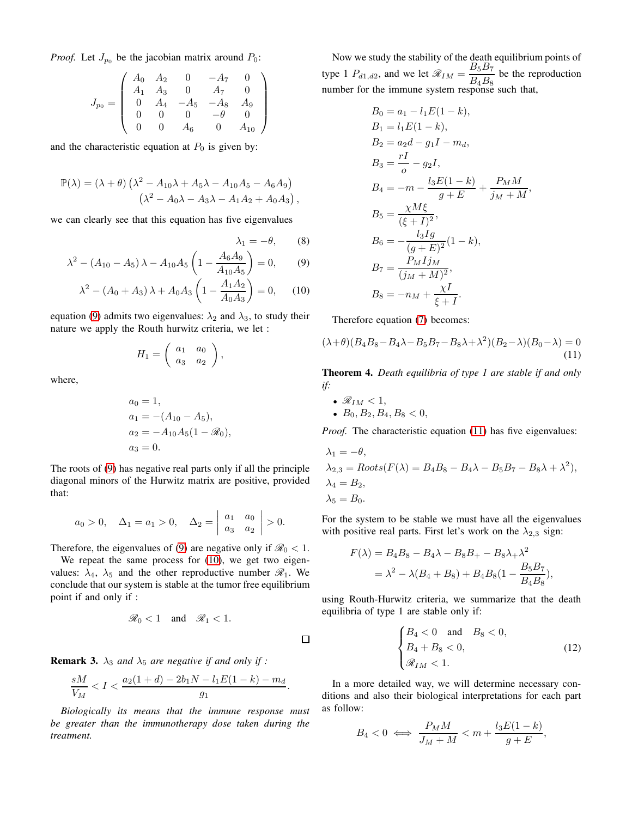*Proof.* Let  $J_{p_0}$  be the jacobian matrix around  $P_0$ :

$$
J_{p_0} = \left(\begin{array}{cccc} A_0 & A_2 & 0 & -A_7 & 0 \\ A_1 & A_3 & 0 & A_7 & 0 \\ 0 & A_4 & -A_5 & -A_8 & A_9 \\ 0 & 0 & 0 & -\theta & 0 \\ 0 & 0 & A_6 & 0 & A_{10} \end{array}\right)
$$

and the characteristic equation at  $P_0$  is given by:

$$
\mathbb{P}(\lambda) = (\lambda + \theta) \left( \lambda^2 - A_{10}\lambda + A_5\lambda - A_{10}A_5 - A_6A_9 \right) \n\left( \lambda^2 - A_0\lambda - A_3\lambda - A_1A_2 + A_0A_3 \right),
$$

we can clearly see that this equation has five eigenvalues

$$
\lambda_1 = -\theta, \qquad (8)
$$

$$
\lambda^2 - (A_{10} - A_5) \lambda - A_{10} A_5 \left( 1 - \frac{A_6 A_9}{A_{10} A_5} \right) = 0, \quad (9)
$$

$$
\lambda^2 - (A_0 + A_3) \lambda + A_0 A_3 \left( 1 - \frac{A_1 A_2}{A_0 A_3} \right) = 0, \quad (10)
$$

equation [\(9\)](#page-5-0) admits two eigenvalues:  $\lambda_2$  and  $\lambda_3$ , to study their nature we apply the Routh hurwitz criteria, we let :

$$
H_1 = \left(\begin{array}{cc} a_1 & a_0 \\ a_3 & a_2 \end{array}\right),
$$

where,

$$
a_0 = 1,
$$
  
\n
$$
a_1 = -(A_{10} - A_5),
$$
  
\n
$$
a_2 = -A_{10}A_5(1 - \mathcal{R}_0),
$$
  
\n
$$
a_3 = 0.
$$

The roots of [\(9\)](#page-5-0) has negative real parts only if all the principle diagonal minors of the Hurwitz matrix are positive, provided that:

$$
a_0 > 0
$$
,  $\Delta_1 = a_1 > 0$ ,  $\Delta_2 = \begin{vmatrix} a_1 & a_0 \\ a_3 & a_2 \end{vmatrix} > 0$ .

Therefore, the eigenvalues of [\(9\)](#page-5-0) are negative only if  $\mathcal{R}_0 < 1$ .

We repeat the same process for [\(10\)](#page-5-1), we get two eigenvalues:  $\lambda_4$ ,  $\lambda_5$  and the other reproductive number  $\mathcal{R}_1$ . We conclude that our system is stable at the tumor free equilibrium point if and only if :

$$
\mathcal{R}_0<1 \quad \text{and} \quad \mathcal{R}_1<1.
$$

**Remark 3.**  $\lambda_3$  *and*  $\lambda_5$  *are negative if and only if :* 

$$
\frac{sM}{V_M} < I < \frac{a_2(1+d) - 2b_1N - l_1E(1-k) - m_d}{g_1}.
$$

*Biologically its means that the immune response must be greater than the immunotherapy dose taken during the treatment.*

Now we study the stability of the death equilibrium points of type 1  $P_{d1, d2}$ , and we let  $\mathcal{R}_{IM} = \frac{B_5 B_7}{B_5 B_7}$  $\frac{B_3 B_7}{B_4 B_8}$  be the reproduction number for the immune system response such that,

$$
B_0 = a_1 - l_1 E(1 - k),
$$
  
\n
$$
B_1 = l_1 E(1 - k),
$$
  
\n
$$
B_2 = a_2 d - g_1 I - m_d,
$$
  
\n
$$
B_3 = \frac{rI}{o} - g_2 I,
$$
  
\n
$$
B_4 = -m - \frac{l_3 E(1 - k)}{g + E} + \frac{P_M M}{j_M + M}
$$
  
\n
$$
B_5 = \frac{\chi M \xi}{(\xi + I)^2},
$$
  
\n
$$
B_6 = -\frac{l_3 I g}{(g + E)^2} (1 - k),
$$
  
\n
$$
B_7 = \frac{P_M I j_M}{(j_M + M)^2},
$$
  
\n
$$
B_8 = -n_M + \frac{\chi I}{\xi + I}.
$$

,

<span id="page-5-1"></span><span id="page-5-0"></span>Therefore equation [\(7\)](#page-4-0) becomes:

<span id="page-5-2"></span>
$$
(\lambda + \theta)(B_4B_8 - B_4\lambda - B_5B_7 - B_8\lambda + \lambda^2)(B_2 - \lambda)(B_0 - \lambda) = 0
$$
\n(11)

Theorem 4. *Death equilibria of type 1 are stable if and only if:*

•  $\mathcal{R}_{IM}$  < 1, •  $B_0, B_2, B_4, B_8 < 0$ ,

 $\Box$ 

*Proof.* The characteristic equation [\(11\)](#page-5-2) has five eigenvalues:

$$
\lambda_1 = -\theta,
$$
  
\n
$$
\lambda_{2,3} = Roots(F(\lambda) = B_4B_8 - B_4\lambda - B_5B_7 - B_8\lambda + \lambda^2),
$$
  
\n
$$
\lambda_4 = B_2,
$$
  
\n
$$
\lambda_5 = B_0.
$$

For the system to be stable we must have all the eigenvalues with positive real parts. First let's work on the  $\lambda_{2,3}$  sign:

$$
F(\lambda) = B_4 B_8 - B_4 \lambda - B_8 B_+ - B_8 \lambda_+ \lambda^2
$$
  
=  $\lambda^2 - \lambda (B_4 + B_8) + B_4 B_8 (1 - \frac{B_5 B_7}{B_4 B_8}),$ 

using Routh-Hurwitz criteria, we summarize that the death equilibria of type 1 are stable only if:

$$
\begin{cases}\nB_4 < 0 \quad \text{and} \quad B_8 < 0, \\
B_4 + B_8 < 0, \\
\Re_{IM} < 1.\n\end{cases}
$$
\n(12)

In a more detailed way, we will determine necessary conditions and also their biological interpretations for each part as follow:

$$
B_4 < 0 \iff \frac{P_M M}{J_M + M} < m + \frac{l_3 E(1 - k)}{g + E},
$$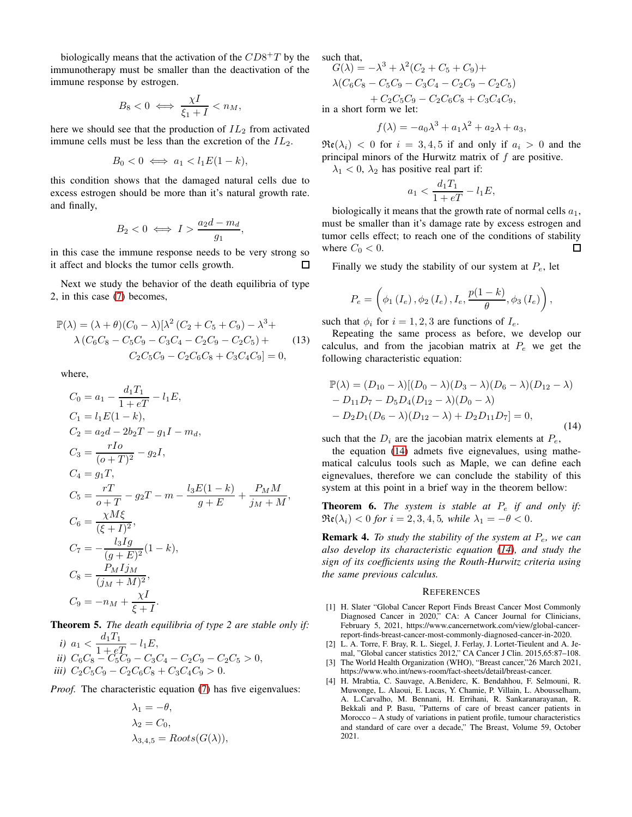biologically means that the activation of the  $CD8+T$  by the immunotherapy must be smaller than the deactivation of the immune response by estrogen.

$$
B_8 < 0 \iff \frac{\chi I}{\xi_1 + I} < n_M,
$$

here we should see that the production of  $IL_2$  from activated immune cells must be less than the excretion of the  $IL_2$ .

$$
B_0 < 0 \iff a_1 < l_1 E(1 - k),
$$

this condition shows that the damaged natural cells due to excess estrogen should be more than it's natural growth rate. and finally,

$$
B_2 < 0 \iff I > \frac{a_2 d - m_d}{g_1},
$$

in this case the immune response needs to be very strong so it affect and blocks the tumor cells growth. 口

Next we study the behavior of the death equilibria of type 2, in this case [\(7\)](#page-4-0) becomes,

$$
\mathbb{P}(\lambda) = (\lambda + \theta)(C_0 - \lambda)[\lambda^2 (C_2 + C_5 + C_9) - \lambda^3 + \lambda (C_6 C_8 - C_5 C_9 - C_3 C_4 - C_2 C_9 - C_2 C_5) + \lambda (C_6 C_8 - C_2 C_6 C_8 + C_3 C_4 C_9) = 0,
$$
\n(13)

where,

$$
C_0 = a_1 - \frac{d_1 T_1}{1 + eT} - l_1 E,
$$
  
\n
$$
C_1 = l_1 E(1 - k),
$$
  
\n
$$
C_2 = a_2 d - 2b_2 T - g_1 I - m_d,
$$
  
\n
$$
C_3 = \frac{rI_0}{(o+T)^2} - g_2 I,
$$
  
\n
$$
C_4 = g_1 T,
$$
  
\n
$$
C_5 = \frac{rT}{o+T} - g_2 T - m - \frac{l_3 E(1 - k)}{g + E} + \frac{P_M M}{j_M + M},
$$
  
\n
$$
C_6 = \frac{\chi M \xi}{(\xi + I)^2},
$$
  
\n
$$
C_7 = -\frac{l_3 I g}{(g + E)^2} (1 - k),
$$
  
\n
$$
C_8 = \frac{P_M I j_M}{(j_M + M)^2},
$$
  
\n
$$
C_9 = -n_M + \frac{\chi I}{\xi + I}.
$$

Theorem 5. *The death equilibria of type 2 are stable only if:*

*i*)  $a_1 < \frac{d_1T_1}{1+r^2}$  $\frac{a_1I + b_1}{1 + eT} - l_1E,$ *ii*)  $C_6C_8 - C_5C_9 - C_3C_4 - C_2C_9 - C_2C_5 > 0$ , *iii*)  $C_2C_5C_9 - C_2C_6C_8 + C_3C_4C_9 > 0.$ 

*Proof.* The characteristic equation [\(7\)](#page-4-0) has five eigenvalues:

$$
\lambda_1 = -\theta,
$$
  
\n
$$
\lambda_2 = C_0,
$$
  
\n
$$
\lambda_{3,4,5} = Roots(G(\lambda)),
$$

such that,

$$
G(\lambda) = -\lambda^3 + \lambda^2 (C_2 + C_5 + C_9) +
$$
  
\n
$$
\lambda (C_6 C_8 - C_5 C_9 - C_3 C_4 - C_2 C_9 - C_2 C_5)
$$
  
\n
$$
+ C_2 C_5 C_9 - C_2 C_6 C_8 + C_3 C_4 C_9,
$$

 $222$ 

in a short form we let:

$$
f(\lambda) = -a_0 \lambda^3 + a_1 \lambda^2 + a_2 \lambda + a_3,
$$

 $\Re(\lambda_i)$  < 0 for  $i = 3, 4, 5$  if and only if  $a_i > 0$  and the principal minors of the Hurwitz matrix of  $f$  are positive.

 $\lambda_1$  < 0,  $\lambda_2$  has positive real part if:

$$
a_1 < \frac{d_1 T_1}{1 + eT} - l_1 E,
$$

biologically it means that the growth rate of normal cells  $a_1$ , must be smaller than it's damage rate by excess estrogen and tumor cells effect; to reach one of the conditions of stability where  $C_0 < 0$ .  $\Box$ 

Finally we study the stability of our system at  $P_e$ , let

$$
P_e = \left(\phi_1\left(I_e\right),\phi_2\left(I_e\right),I_e,\frac{p(1-k)}{\theta},\phi_3\left(I_e\right)\right),\,
$$

such that  $\phi_i$  for  $i = 1, 2, 3$  are functions of  $I_e$ .

Repeating the same process as before, we develop our calculus, and from the jacobian matrix at  $P_e$  we get the following characteristic equation:

<span id="page-6-4"></span>
$$
\mathbb{P}(\lambda) = (D_{10} - \lambda)[(D_0 - \lambda)(D_3 - \lambda)(D_6 - \lambda)(D_{12} - \lambda) - D_{11}D_7 - D_5D_4(D_{12} - \lambda)(D_0 - \lambda) - D_2D_1(D_6 - \lambda)(D_{12} - \lambda) + D_2D_{11}D_7] = 0,
$$
\n(14)

such that the  $D_i$  are the jacobian matrix elements at  $P_e$ ,

the equation [\(14\)](#page-6-4) admets five eignevalues, using mathematical calculus tools such as Maple, we can define each eignevalues, therefore we can conclude the stability of this system at this point in a brief way in the theorem bellow:

Theorem 6. *The system is stable at* P<sup>e</sup> *if and only if:*  $\Re\mathfrak{e}(\lambda_i) < 0$  for  $i = 2, 3, 4, 5$ *, while*  $\lambda_1 = -\theta < 0$ *.* 

Remark 4. *To study the stability of the system at* Pe*, we can also develop its characteristic equation [\(14\)](#page-6-4), and study the sign of its coefficients using the Routh-Hurwitz criteria using the same previous calculus.*

#### **REFERENCES**

- <span id="page-6-0"></span>[1] H. Slater "Global Cancer Report Finds Breast Cancer Most Commonly Diagnosed Cancer in 2020," CA: A Cancer Journal for Clinicians, February 5, 2021, https://www.cancernetwork.com/view/global-cancerreport-finds-breast-cancer-most-commonly-diagnosed-cancer-in-2020.
- <span id="page-6-1"></span>[2] L. A. Torre, F. Bray, R. L. Siegel, J. Ferlay, J. Lortet-Tieulent and A. Jemal, "Global cancer statistics 2012," CA Cancer J Clin. 2015,65:87–108.
- <span id="page-6-2"></span>[3] The World Health Organization (WHO), "Breast cancer,"26 March 2021, https://www.who.int/news-room/fact-sheets/detail/breast-cancer.
- <span id="page-6-3"></span>[4] H. Mrabtia, C. Sauvage, A.Beniderc, K. Bendahhou, F. Selmouni, R. Muwonge, L. Alaoui, E. Lucas, Y. Chamie, P. Villain, L. Abousselham, A. L.Carvalho, M. Bennani, H. Errihani, R. Sankaranarayanan, R. Bekkali and P. Basu, "Patterns of care of breast cancer patients in Morocco – A study of variations in patient profile, tumour characteristics and standard of care over a decade," The Breast, Volume 59, October 2021.